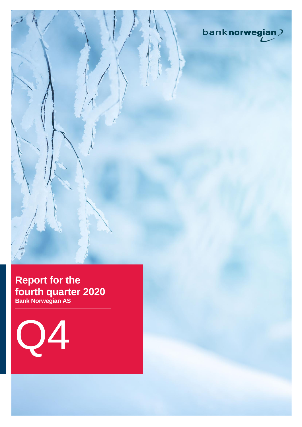

# **Report for the fourth quarter 2020 Bank Norwegian AS**

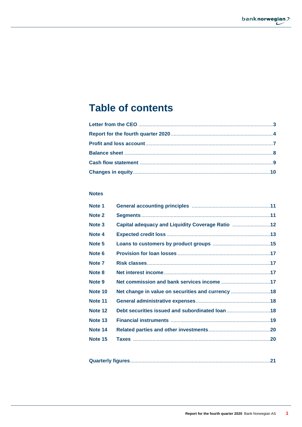# **Table of contents**

## **Notes**

| Note 1  |                                                   |  |
|---------|---------------------------------------------------|--|
| Note 2  |                                                   |  |
| Note 3  | Capital adequacy and Liquidity Coverage Ratio  12 |  |
| Note 4  |                                                   |  |
| Note 5  |                                                   |  |
| Note 6  |                                                   |  |
| Note 7  |                                                   |  |
| Note 8  |                                                   |  |
| Note 9  |                                                   |  |
| Note 10 | Net change in value on securities and currency 18 |  |
| Note 11 |                                                   |  |
| Note 12 | Debt securities issued and subordinated loan 18   |  |
| Note 13 |                                                   |  |
| Note 14 |                                                   |  |
| Note 15 |                                                   |  |
|         |                                                   |  |

|--|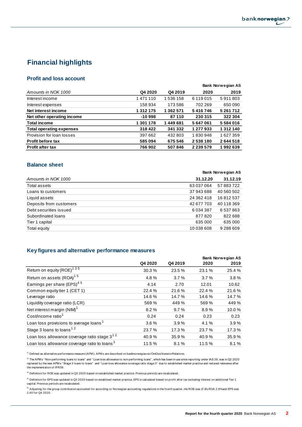

## **Financial highlights**

## **Profit and loss account**

|                                 |               |           |               | Bank Norwegian AS |
|---------------------------------|---------------|-----------|---------------|-------------------|
| Amounts in NOK 1000             | Q4 2020       | Q4 2019   | 2020          | 2019              |
| Interest income                 | 1471110       | 1 536 158 | 6 119 015     | 5911803           |
| Interest expenses               | 158 934       | 173586    | 702 269       | 650090            |
| Net interest income             | 1 3 1 2 1 7 5 | 1 362 571 | 5416746       | 5 261 712         |
| Net other operating income      | $-10998$      | 87110     | 230 315       | 322 304           |
| <b>Total income</b>             | 1 301 178     | 1449681   | 5647061       | 5584016           |
| <b>Total operating expenses</b> | 318 422       | 341 332   | 1 277 933     | 1 312 140         |
| Provision for loan losses       | 397 662       | 432 803   | 1830948       | 1 627 359         |
| Profit before tax               | 585 094       | 675 546   | 2538180       | 2644518           |
| <b>Profit after tax</b>         | 766 902       | 507846    | 2 2 3 5 5 7 9 | 1992639           |

## **Balance sheet**

|                         | Bank Norwegian AS |            |  |
|-------------------------|-------------------|------------|--|
| Amounts in NOK 1000     | 31.12.20          | 31.12.19   |  |
| Total assets            | 63 037 064        | 57 883 722 |  |
| Loans to customers      | 37 943 688        | 40 560 502 |  |
| Liquid assets           | 24 362 418        | 16812537   |  |
| Deposits from customers | 42 677 703        | 40 118 369 |  |
| Debt securities issued  | 6 0 34 3 8 7      | 6537863    |  |
| Subordinated loans      | 877820            | 822 688    |  |
| Tier 1 capital          | 635 000           | 635 000    |  |
| Total equity            | 10 038 608        | 9 288 609  |  |

## **Key figures and alternative performance measures**

|                                                          |         |         | <b>Bank Norwegian AS</b> |        |  |
|----------------------------------------------------------|---------|---------|--------------------------|--------|--|
|                                                          | Q4 2020 | Q4 2019 | 2020                     | 2019   |  |
| Return on equity (ROE) <sup>135</sup>                    | 30.3%   | 23.5 %  | 23.1 %                   | 25.4 % |  |
| Return on assets (ROA) <sup>15</sup>                     | 4.8%    | 3.7%    | 3.7%                     | 3.8%   |  |
| Earnings per share (EPS) <sup>45</sup>                   | 4.14    | 2.70    | 12.01                    | 10.62  |  |
| Common equity tier 1 (CET 1)                             | 22.4 %  | 21.6%   | 22.4 %                   | 21.6%  |  |
| Leverage ratio                                           | 14.6%   | 14.7%   | 14.6%                    | 14.7 % |  |
| Liquidity coverage ratio (LCR)                           | 569 %   | 449 %   | 569 %                    | 449 %  |  |
| Net interest margin (NIM) <sup>1</sup>                   | 8.2%    | 9.7%    | 8.9%                     | 10.0%  |  |
| Cost/income ratio <sup>1</sup>                           | 0.24    | 0.24    | 0.23                     | 0.23   |  |
| Loan loss provisions to average loans <sup>1</sup>       | 3.6%    | 3.9%    | 4.1 %                    | 3.9%   |  |
| Stage 3 loans to loans $1^2$                             | 23.7%   | 17.3 %  | 23.7%                    | 17.3 % |  |
| Loan loss allowance coverage ratio stage 3 <sup>12</sup> | 40.9%   | 35.9%   | 40.9%                    | 35.9%  |  |
| Loan loss allowance coverage ratio to loans <sup>1</sup> | 11.5 %  | 8.1%    | 11.5 %                   | 8.1%   |  |

<sup>1)</sup> Defined as alternative performance measure (APM). APM s are described on banknorwegian.no/OmOss/InvestorRelations.

<sup>2)</sup> The APM s "Non-performing loans to loans" and "Loan loss allowance to non-performing loans", which has been in use since reporting under IAS 39, was in Q2 2020 replaced by the new APM s "Stage 3 loans to loans" and "Loan loss allowance coverage ratio stage 3" due to established market practice and reduced relevance after the implementation of IFRS9.

 $3)$  Definition for ROE was updated in Q3 2020 based on established market practice. Previous periods are recalculated.

<sup>4)</sup> Definition for EPS was updated in Q3 2020 based on establised market practice. EPS is calculated based on profit after tax excluding interest on additional Tier 1 capital. Previous periods are recalculated.

<sup>5)</sup> Adjusting for the group contribution accounted for according to Norwegian accounting regulations in the fourth quarter, the ROE was 17.1%, ROA 2.8% and EPS was 2.40 for Q4 2020.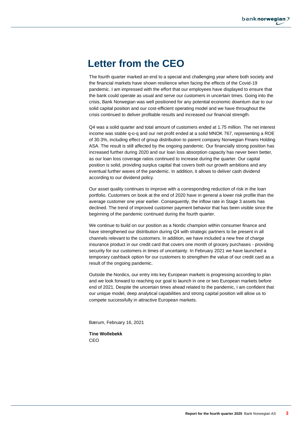# **Letter from the CEO**

The fourth quarter marked an end to a special and challenging year where both society and the financial markets have shown resilience when facing the effects of the Covid-19 pandemic. I am impressed with the effort that our employees have displayed to ensure that the bank could operate as usual and serve our customers in uncertain times. Going into the crisis, Bank Norwegian was well positioned for any potential economic downturn due to our solid capital position and our cost-efficient operating model and we have throughout the crisis continued to deliver profitable results and increased our financial strength.

Q4 was a solid quarter and total amount of customers ended at 1.75 million. The net interest income was stable q-o-q and our net profit ended at a solid MNOK 767, representing a ROE of 30.3%, including effect of group distribution to parent company Norwegian Finans Holding ASA. The result is still affected by the ongoing pandemic. Our financially strong position has increased further during 2020 and our loan loss absorption capacity has never been better, as our loan loss coverage ratios continued to increase during the quarter. Our capital position is solid, providing surplus capital that covers both our growth ambitions and any eventual further waves of the pandemic. In addition, it allows to deliver cash dividend according to our dividend policy.

Our asset quality continues to improve with a corresponding reduction of risk in the loan portfolio. Customers on book at the end of 2020 have in general a lower risk profile than the average customer one year earlier. Consequently, the inflow rate in Stage 3 assets has declined. The trend of improved customer payment behavior that has been visible since the beginning of the pandemic continued during the fourth quarter.

We continue to build on our position as a Nordic champion within consumer finance and have strengthened our distribution during Q4 with strategic partners to be present in all channels relevant to the customers. In addition, we have included a new free of charge insurance product in our credit card that covers one month of grocery purchases - providing security for our customers in times of uncertainty. In February 2021 we have launched a temporary cashback option for our customers to strengthen the value of our credit card as a result of the ongoing pandemic.

Outside the Nordics, our entry into key European markets is progressing according to plan and we look forward to reaching our goal to launch in one or two European markets before end of 2021. Despite the uncertain times ahead related to the pandemic, I am confident that our unique model, deep analytical capabilities and strong capital position will allow us to compete successfully in attractive European markets.

Bærum, February 16, 2021

**Tine Wollebekk** CEO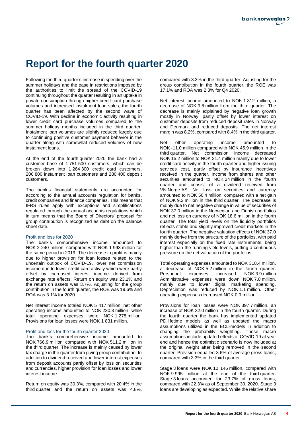# **Report for the fourth quarter 2020**

Following the third quarter's increase in spending over the summer holidays and the ease in restrictions imposed by the authorities to limit the spread of the COVID-19 continuing throughout the quarter resulting in an uptake in private consumption through higher credit card purchase volumes and increased instalment loan sales, the fourth quarter has been affected by the second wave of COVID-19. With decline in economic activity resulting in lower credit card purchase volumes compared to the summer holiday months included in the third quarter. Instalment loan volumes are slightly reduced largely due to continuing positive customer payment behavior in the quarter along with somewhat reduced volumes of new instalment loans.

At the end of the fourth quarter 2020 the bank had a customer base of 1 751 500 customers, which can be broken down into 1 264 300 credit card customers, 206 800 instalment loan customers and 280 400 deposit customers.

The bank's financial statements are accounted for according to the annual accounts regulation for banks, credit companies and finance companies. This means that IFRS rules apply with exceptions and simplifications regulated through the annual accounts regulations which in turn means that the Board of Directors' proposal for group contribution is recognized as debt on the balance sheet date.

#### Profit and loss for 2020

The bank's comprehensive income amounted to NOK 2 240 million, compared with NOK 1 993 million for the same period in 2019. The decrease in profit is mainly due to higher provision for loan losses related to the uncertain outlook of COVID-19, lower net commission income due to lower credit card activity which were partly offset by increased interest income derived from exchange rate effects. Return on equity was 23.1% and the return on assets was 3.7%. Adjusting for the group contribution in the fourth quarter, the ROE was 19.6% and ROA was 3.1% for 2020.

Net interest income totaled NOK 5 417 million, net other operating income amounted to NOK 230.3 million, while total operating expenses were NOK 1 278 million. Provisions for loan losses were NOK 1 831 million.

#### Profit and loss for the fourth quarter 2020

The bank's comprehensive income amounted to NOK 766.9 million compared with NOK 511.2 million in the third quarter. The increase is mainly caused by lower tax charge in the quarter from giving group contribution. In addition to dividend received and lower interest expenses from deposit accounts partly offset by loss on securities and currencies, higher provision for loan losses and lower interest income.

Return on equity was 30.3%, compared with 20.4% in the third quarter and the return on assets was 4.8%, compared with 3.3% in the third quarter. Adjusting for the group contribution in the fourth quarter, the ROE was 17.1% and ROA was 2.8% for Q4 2020.

Net interest income amounted to NOK 1 312 million, a decrease of NOK 9.8 million from the third quarter. The decrease is mainly explained by negative loan growth mostly in Norway, partly offset by lower interest on customer deposits from reduced deposit rates in Norway and Denmark and reduced deposits. The net interest margin was 8.2%, compared with 8.4% in the third quarter.

Net other operating income amounted to NOK -11.0 million compared with NOK 45.9 million in the third quarter. Net commission income decreased NOK 15.2 million to NOK 21.4 million mainly due to lower credit card activity in the fourth quarter and higher issuing services cost, partly offset by insurance incentives received in the quarter. Income from shares and other securities amounted to NOK 24 million in the fourth quarter and consist of a dividend received from VN Norge AS. Net loss on securities and currency amounted to NOK 56.4 million, compared with a net gain of NOK 9.2 million in the third quarter. The decrease is mainly due to net negative change in value of securities of NOK 37.0 million in the Norwegian and Finnish portfolios and net loss on currency of NOK 18.6 million in the fourth quarter. The total yield levels on the liquidity portfolios reflects stable and slightly improved credit markets in the fourth quarter. The negative valuation effects of NOK 37.0 mainly derive from the structure of the portfolios, with paid interest especially on the fixed rate instruments, being higher than the running yield levels, putting a continuous pressure on the net valuation of the portfolios.

Total operating expenses amounted to NOK 318.4 million, a decrease of NOK 5.2 million in the fourth quarter.<br>Personnel expenses increased NOK 3.9 million expenses increased NOK 3.9 million Administrative expenses were down NOK 7.0 million, mainly due to lower digital marketing spending. Depreciation was reduced by NOK 1.1 million. Other operating expenses decreased NOK 0.9 million.

Provisions for loan losses were NOK 397.7 million, an increase of NOK 32.0 million in the fourth quarter. During the fourth quarter the bank has implemented updated PD lifetime models as well as updated the macro assumptions utilized in the ECL-models in addition to changing the probability weighting. These macro assumptions include updated effects of COVID-19 at year end and hence the optimistic scenario is now included at the original weight after being removed in the second quarter. Provision equalled 3.6% of average gross loans, compared with 3.3% in the third quarter.

Stage 3 loans were NOK 10 146 million, compared with NOK 9 995 million at the end of the third quarter. Stage 3 loans accounted for 23.7% of gross loans, compared with 22.3% as of September 30, 2020. Stage 3 loans are developing as expected. While the relative share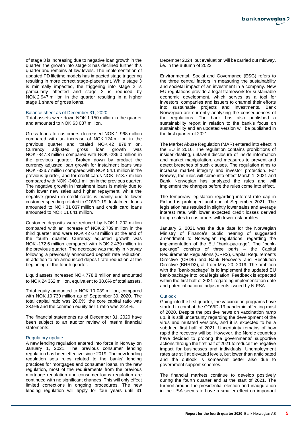of stage 3 is increasing due to negative loan growth in the quarter, the growth into stage 3 has declined further this quarter and remains at low levels. The implementation of updated PD lifetime models has impacted stage triggering resulting in more correct stage-placement. While stage 3 is minimally impacted, the triggering into stage 2 is particularly affected and stage 2 is reduced by NOK 2 947 million in the quarter resulting in a higher stage 1 share of gross loans.

#### Balance sheet as of December 31, 2020

Total assets were down NOK 1 150 million in the quarter and amounted to NOK 63 037 million.

Gross loans to customers decreased NOK 1 968 million compared with an increase of NOK 124 million in the previous quarter and totaled NOK 42 878 million. Currency adjusted gross loan growth was NOK -847.3 million compared with NOK -286.0 million in the previous quarter. Broken down by product the currency adjusted loan growth for instalment loans was NOK -333.7 million compared with NOK 54.1 million in the previous quarter, and for credit cards NOK -513.7 million compared with NOK -340.1 million in the previous quarter. The negative growth in instalment loans is mainly due to both lower new sales and higher repayment, while the negative growth in credit cards is mainly due to lower customer spending related to COVID-19. Instalment loans amounted to NOK 31 037 million and credit card loans amounted to NOK 11 841 million.

Customer deposits were reduced by NOK 1 202 million compared with an increase of NOK 2 789 million in the third quarter and were NOK 42 678 million at the end of the fourth quarter. Currency adjusted growth was NOK -172.6 million compared with NOK 2 439 million in the previous quarter. The decrease was mainly in Norway following a previously announced deposit rate reduction, in addition to an announced deposit rate reduction at the beginning of the fourth quarter.

Liquid assets increased NOK 778.8 million and amounted to NOK 24 362 million, equivalent to 38.6% of total assets.

Total equity amounted to NOK 10 039 million, compared with NOK 10 730 million as of September 30, 2020. The total capital ratio was 26.0%, the core capital ratio was 23.9% and the common equity tier 1 ratio was 22.4%.

The financial statements as of December 31, 2020 have been subject to an auditor review of interim financial statements.

#### Regulatory update

A new lending regulation entered into force in Norway on January 1, 2021. The previous consumer lending regulation has been effective since 2019. The new lending regulation sets rules related to the banks' lending practices for mortgages and consumer loans. In the new regulation, most of the requirements from the previous mortgage regulation and consumer loans regulation are continued with no significant changes. This will only effect limited corrections in ongoing procedures. The new lending regulation will apply for four years until 31

December 2024, but evaluation will be carried out midway, i.e. in the autumn of 2022.

Environmental, Social and Governance (ESG) refers to the three central factors in measuring the sustainability and societal impact of an investment in a company. New EU regulations provide a legal framework for sustainable economic development, which serves as a tool for investors, companies and issuers to channel their efforts into sustainable projects and investments. Bank Norwegian are currently analyzing the consequences of the regulations. The bank has also published a sustainability report in relation to the bank's focus on sustainability and an updated version will be published in the first quarter of 2021.

The Market Abuse Regulation (MAR) entered into effect in the EU in 2016. The regulation contains prohibitions of insider dealing, unlawful disclosure of inside information and market manipulation, and measures to prevent and detect breaches of such clauses. The regulation aims to increase market integrity and investor protection. For Norway, the rules will come into effect March 1, 2021 and Bank Norwegian has analyzed the rules and will implement the changes before the rules come into effect.

The temporary legislation regarding interest rate cap in Finland is prolonged until end of September 2021. The legislation has resulted in slightly lower sales and average interest rate, with lower expected credit losses derived trough sales to customers with lower risk profiles.

January 6, 2021 was the due date for the Norwegian Ministry of Finance's public hearing of suggested amendment to Norwegian regulations, regarding the implementation of the EU "bank-package". The "bankpackage" consists of three parts – the Capital Requirements Regulations (CRR2), Capital Requirements Directive (CRD5) and Bank Recovery and Resolution Directive (BRRD2), all from May 20, 2019. The ambition with the "bank-package" is to implement the updated EU bank-package into local legislation. Feedback is expected within the first half of 2021 regarding implementation date and potential national adjustments issued by N-FSA.

#### **Outlook**

Going into the first quarter, the vaccination programs have started to combat the COVID-19 pandemic affecting most of 2020. Despite the positive news on vaccination ramp up, it is still uncertainty regarding the development of the virus and mutated versions, and it is expected to be a subdued first half of 2021. Uncertainty remains of how rapid the recovery will be. However, the Nordic countries have decided to prolong the governments' supportive actions through the first half of 2021 to reduce the negative impact for businesses and individuals. Unemployment rates are still at elevated levels, but lower than anticipated and the outlook is somewhat better also due to government support schemes.

The financial markets continue to develop positively during the fourth quarter and at the start of 2021. The turmoil around the presidential election and inauguration in the USA seems to have a smaller effect on important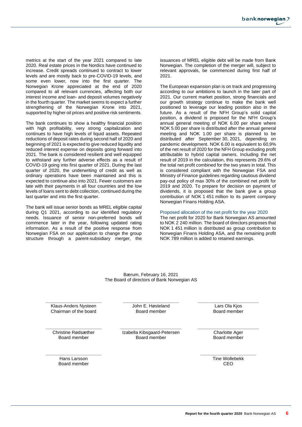metrics at the start of the year 2021 compared to late 2020. Real estate prices in the Nordics have continued to increase. Credit spreads continued to contract to lower levels and are mostly back to pre-COVID-19 levels, and some even lower, now into the first quarter. The Norwegian Krone appreciated at the end of 2020 compared to all relevant currencies, affecting both our interest income and loan- and deposit volumes negatively in the fourth quarter. The market seems to expect a further strengthening of the Norwegian Krone into 2021, supported by higher oil prices and positive risk sentiments.

The bank continues to show a healthy financial position with high profitability, very strong capitalization and continues to have high levels of liquid assets. Repeated reductions of deposit rates during second half of 2020 and beginning of 2021 is expected to give reduced liquidity and reduced interest expense on deposits going forward into 2021. The bank is considered resilient and well equipped to withstand any further adverse effects as a result of COVID-19 going into first quarter of 2021. During the last quarter of 2020, the underwriting of credit as well as ordinary operations have been maintained and this is expected to continue also into 2021. Fewer customers are late with their payments in all four countries and the low levels of loans sent to debt collection, continued during the last quarter and into the first quarter.

The bank will issue senior bonds as MREL eligible capital during Q1 2021, according to our identified regulatory needs. Issuance of senior non-preferred bonds will commence later in the year, following updated rating information. As a result of the positive response from Norwegian FSA on our application to change the group structure through a parent-subsidiary merger, the issuances of MREL eligible debt will be made from Bank Norwegian. The completion of the merger will, subject to relevant approvals, be commenced during first half of 2021.

The European expansion plan is on track and progressing according to our ambitions to launch in the later part of 2021. Our current market position, strong financials and our growth strategy continue to make the bank well positioned to leverage our leading position also in the future. As a result of the NFH Group's solid capital position, a dividend is proposed for the NFH Group's annual general meeting of NOK 6.00 per share where NOK 5.00 per share is distributed after the annual general meeting and NOK 1.00 per share is planned to be distributed after September 30, 2021, depending on pandemic development. NOK 6.00 is equivalent to 60,9% of the net result of 2020 for the NFH Group excluding profit attributable to hybrid capital owners. Including the net result of 2019 in the calculation, this represents 29.6% of the total net profit combined for the two years in total. This is considered compliant with the Norwegian FSA and Ministry of Finance guidelines regarding cautious dividend pay-out policy of max 30% of the combined net profit for 2019 and 2020. To prepare for decision on payment of dividends, it is proposed that the bank give a group contribution of NOK 1 451 million to its parent company Norwegian Finans Holding ASA.

Proposed allocation of the net profit for the year 2020

The net profit for 2020 for Bank Norwegian AS amounted to NOK 2 240 million. The board of directors proposes that NOK 1 451 million is distributed as group contribution to Norwegian Finans Holding ASA, and the remaining profit NOK 789 million is added to retained earnings.

Bærum, February 16, 2021 The Board of directors of Bank Norwegian AS

**\_\_\_\_\_\_\_\_\_\_\_\_\_\_\_\_\_\_\_\_\_\_** Klaus-Anders Nysteen Chairman of the board

**\_\_\_\_\_\_\_\_\_\_\_\_\_\_\_\_\_\_\_\_\_\_** John E. Høsteland Board member

**\_\_\_\_\_\_\_\_\_\_\_\_\_\_\_\_\_\_\_\_\_\_** Christine Rødsæther Board member

**\_\_\_\_\_\_\_\_\_\_\_\_\_\_\_\_\_\_\_\_\_\_\_\_** Izabella Kibsgaard-Petersen Board member

**\_\_\_\_\_\_\_\_\_\_\_\_\_\_\_\_\_\_\_\_\_\_\_\_** Lars Ola Kjos Board member

**\_\_\_\_\_\_\_\_\_\_\_\_\_\_\_\_\_\_\_\_\_\_\_\_** Charlotte Ager Board member

**\_\_\_\_\_\_\_\_\_\_\_\_\_\_\_\_\_\_\_\_\_\_** Tine Wollebekk CEO

**\_\_\_\_\_\_\_\_\_\_\_\_\_\_\_\_\_\_\_\_\_\_** Hans Larsson Board member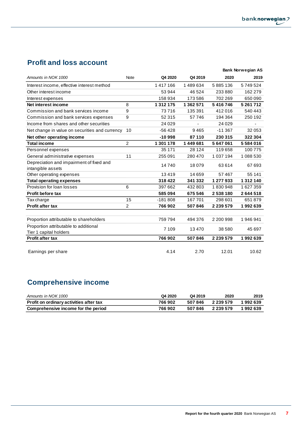## **Profit and loss account**

|                                                |                |           |           |               | <b>Bank Norwegian AS</b> |
|------------------------------------------------|----------------|-----------|-----------|---------------|--------------------------|
| Amounts in NOK 1000                            | <b>Note</b>    | Q4 2020   | Q4 2019   | 2020          | 2019                     |
| Interest income, effective interest method     |                | 1417166   | 1489634   | 5885136       | 5749524                  |
| Other interest income                          |                | 53 944    | 46 524    | 233 880       | 162 279                  |
| Interest expenses                              |                | 158 934   | 173 586   | 702 269       | 650 090                  |
| Net interest income                            | 8              | 1 312 175 | 1 362 571 | 5416746       | 5 261 712                |
| Commission and bank services income            | 9              | 73716     | 135 391   | 412016        | 540 443                  |
| Commission and bank services expenses          | 9              | 52 315    | 57746     | 194 364       | 250 192                  |
| Income from shares and other securities        |                | 24 0 29   |           | 24 0 29       |                          |
| Net change in value on securities and currency | 10             | -56 428   | 9465      | $-11367$      | 32 053                   |
| Net other operating income                     |                | $-10998$  | 87110     | 230 315       | 322 304                  |
| <b>Total income</b>                            | $\overline{2}$ | 1 301 178 | 1449681   | 5647061       | 5584016                  |
| Personnel expenses                             |                | 35 171    | 28 1 24   | 119658        | 100 775                  |
| General administrative expenses                | 11             | 255 091   | 280 470   | 1 0 3 7 1 9 4 | 1 088 530                |
| Depreciation and impairment of fixed and       |                | 14740     | 18079     | 63 614        | 67 693                   |
| intangible assets                              |                |           |           |               |                          |
| Other operating expenses                       |                | 13419     | 14 659    | 57467         | 55 141                   |
| <b>Total operating expenses</b>                |                | 318 422   | 341 332   | 1 277 933     | 1 312 140                |
| Provision for loan losses                      | 6              | 397 662   | 432 803   | 1830948       | 1627359                  |
| <b>Profit before tax</b>                       |                | 585 094   | 675 546   | 2538180       | 2644518                  |
| Tax charge                                     | 15             | $-181808$ | 167701    | 298 601       | 651879                   |
| <b>Profit after tax</b>                        | 2              | 766 902   | 507846    | 2 2 3 9 5 7 9 | 1992639                  |
|                                                |                |           |           |               |                          |
| Proportion attributable to shareholders        |                | 759794    | 494 376   | 2 200 998     | 1946941                  |
| Proportion attributable to additional          |                | 7 1 0 9   | 13470     | 38 580        | 45 697                   |
| Tier 1 capital holders                         |                |           |           |               |                          |
| <b>Profit after tax</b>                        |                | 766 902   | 507846    | 2 2 3 5 7 9   | 1992639                  |
|                                                |                |           |           |               |                          |
| Earnings per share                             |                | 4.14      | 2.70      | 12.01         | 10.62                    |

# **Comprehensive income**

| Amounts in NOK 1000                     | Q4 2020 | Q4 2019 | 2020          | 2019    |
|-----------------------------------------|---------|---------|---------------|---------|
| Profit on ordinary activities after tax | 766902  | 507846  | 2 2 3 5 5 7 9 | 1992639 |
| Comprehensive income for the period     | 766902  | 507846  | 2 2 3 5 5 7 9 | 1992639 |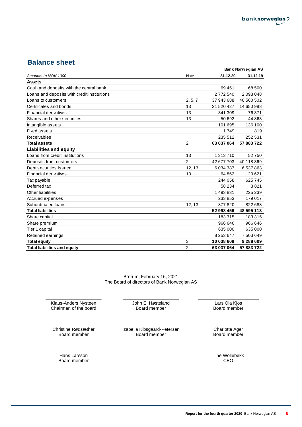## **Balance sheet**

|                                             |                |              | <b>Bank Norwegian AS</b> |
|---------------------------------------------|----------------|--------------|--------------------------|
| Amounts in NOK 1000                         | Note           | 31.12.20     | 31.12.19                 |
| <b>Assets</b>                               |                |              |                          |
| Cash and deposits with the central bank     |                | 69451        | 68 500                   |
| Loans and deposits with credit institutions |                | 2772540      | 2 093 048                |
| Loans to customers                          | 2, 5, 7        | 37 943 688   | 40 560 502               |
| Certificates and bonds                      | 13             | 21 520 427   | 14 650 988               |
| <b>Financial derivatives</b>                | 13             | 341 309      | 76 371                   |
| Shares and other securities                 | 13             | 50 692       | 44 863                   |
| Intangible assets                           |                | 101 695      | 136 100                  |
| <b>Fixed assets</b>                         |                | 1749         | 819                      |
| Receivables                                 |                | 235 512      | 252 531                  |
| <b>Total assets</b>                         | $\overline{2}$ | 63 037 064   | 57 883 722               |
| <b>Liabilities and equity</b>               |                |              |                          |
| Loans from credit institutions              | 13             | 1 313 710    | 52750                    |
| Deposits from customers                     | $\overline{2}$ | 42 677 703   | 40 118 369               |
| Debt securities issued                      | 12, 13         | 6 0 34 3 8 7 | 6537863                  |
| <b>Financial derivatives</b>                | 13             | 64862        | 29621                    |
| <b>Tax payable</b>                          |                | 244 058      | 625 745                  |
| Deferred tax                                |                | 58 234       | 3821                     |
| Other liabilities                           |                | 1493831      | 225 239                  |
| Accrued expenses                            |                | 233 853      | 179 017                  |
| Subordinated loans                          | 12, 13         | 877820       | 822 688                  |
| <b>Total liabilities</b>                    |                | 52 998 456   | 48 595 113               |
| Share capital                               |                | 183315       | 183315                   |
| Share premium                               |                | 966 646      | 966 646                  |
| Tier 1 capital                              |                | 635 000      | 635 000                  |
| Retained earnings                           |                | 8 253 647    | 7 503 649                |
| <b>Total equity</b>                         | 3              | 10 038 608   | 9 288 609                |
| <b>Total liabilities and equity</b>         | $\overline{2}$ | 63 037 064   | 57 883 722               |

Bærum, February 16, 2021 The Board of directors of Bank Norwegian AS

> **\_\_\_\_\_\_\_\_\_\_\_\_\_\_\_\_\_\_\_\_\_\_** John E. Høsteland Board member

**\_\_\_\_\_\_\_\_\_\_\_\_\_\_\_\_\_\_\_\_\_\_** Klaus-Anders Nysteen Chairman of the board

**\_\_\_\_\_\_\_\_\_\_\_\_\_\_\_\_\_\_\_\_\_\_** Christine Rødsæther Board member

**\_\_\_\_\_\_\_\_\_\_\_\_\_\_\_\_\_\_\_\_\_\_\_\_** Izabella Kibsgaard-Petersen Board member

**\_\_\_\_\_\_\_\_\_\_\_\_\_\_\_\_\_\_\_\_\_\_\_\_** Charlotte Ager Board member

**\_\_\_\_\_\_\_\_\_\_\_\_\_\_\_\_\_\_\_\_\_\_\_\_** Lars Ola Kjos Board member

**\_\_\_\_\_\_\_\_\_\_\_\_\_\_\_\_\_\_\_\_\_\_** Hans Larsson Board member

**\_\_\_\_\_\_\_\_\_\_\_\_\_\_\_\_\_\_\_\_\_\_** Tine Wollebekk CEO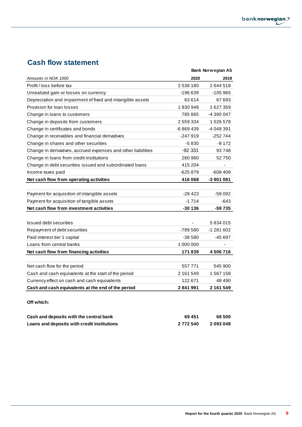## **Cash flow statement**

|                                                               |           | Bank Norwegian AS |
|---------------------------------------------------------------|-----------|-------------------|
| Amounts in NOK 1000                                           | 2020      | 2019              |
| Profit / loss before tax                                      | 2538180   | 2644518           |
| Unrealized gain or losses on currency                         | -196 639  | -105 965          |
| Depreciation and impairment of fixed and intangible assets    | 63 614    | 67 693            |
| Provision for loan losses                                     | 1830948   | 1 627 359         |
| Change in loans to customers                                  | 785865    | -4 390 047        |
| Change in deposits from customers                             | 2 559 334 | 1026578           |
| Change in certificates and bonds                              | -6869439  | -4 048 391        |
| Change in receivables and financial derivatives               | -247919   | -252 744          |
| Change in shares and other securities                         | $-5830$   | $-8172$           |
| Change in derivatives, accrued expenses and other liabilities | $-92331$  | 93748             |
| Change in loans from credit institutions                      | 260 960   | 52750             |
| Change in debt securities issued and subordinated loans       | 415 204   |                   |
| Income taxes paid                                             | -625 879  | -608 408          |
| Net cash flow from operating activities                       | 416 068   | -3 901 081        |
|                                                               |           |                   |
| Payment for acquisition of intangible assets                  | $-28423$  | -59 092           |
| Payment for acquisition of tangible assets                    | $-1714$   | $-643$            |
| Net cash flow from investment activities                      | $-30136$  | -59 735           |
|                                                               |           |                   |
| Issued debt securities                                        |           | 5834015           |
| Repayment of debt securities                                  | -789 580  | -1 281 602        |
| Paid interest tier 1 capital                                  | $-38580$  | -45 697           |
| Loans from central banks                                      | 1 000 000 |                   |
| Net cash flow from financing activities                       | 171839    | 4 506 716         |
|                                                               |           |                   |
| Net cash flow for the period                                  | 557771    | 545 900           |
| Cash and cash equivalents at the start of the period          | 2 161 549 | 1 567 158         |
| Currency effect on cash and cash equivalents                  | 122 671   | 48 490            |
| Cash and cash equivalents at the end of the period            | 2841991   | 2 161 549         |
|                                                               |           |                   |
| Off which:                                                    |           |                   |
|                                                               |           |                   |
| Cash and deposits with the central bank                       | 69 451    | 68 500            |

**Loans and deposits with credit institutions 2 772 540 2 093 048**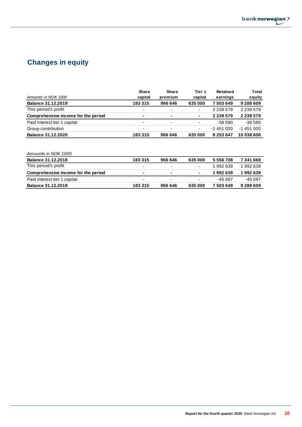

# **Changes in equity**

|                                     | <b>Share</b>             | Share                    | Tier 1         | <b>Retained</b> | Total         |
|-------------------------------------|--------------------------|--------------------------|----------------|-----------------|---------------|
| Amounts in NOK 1000                 | capital                  | premium                  | capital        | earnings        | equity        |
| <b>Balance 31.12.2019</b>           | 183315                   | 966 646                  | 635 000        | 7503649         | 9 288 609     |
| This period's profit                | $\overline{\phantom{0}}$ | $\overline{\phantom{a}}$ | ٠              | 2 2 3 5 5 7 9   | 2 2 3 5 5 7 9 |
| Comprehensive income for the period | ٠                        | $\blacksquare$           | $\blacksquare$ | 2 2 3 5 7 9     | 2 2 3 5 7 9   |
| Paid interest tier 1 capital        | $\blacksquare$           | $\overline{\phantom{a}}$ | ٠              | $-38580$        | $-38580$      |
| Group contribution                  | ۰                        | $\overline{\phantom{a}}$ | ٠              | $-1451000$      | $-1451000$    |
| <b>Balance 31.12.2020</b>           | 183315                   | 966 646                  | 635 000        | 8 253 647       | 10 038 608    |

## *Amounts in NOK 1000*

| <b>Balance 31.12.2018</b>           | 183315         | 966 646 | 635 000        | 5 556 708 | 7341668   |
|-------------------------------------|----------------|---------|----------------|-----------|-----------|
| This period's profit                |                |         | ۰              | 1992639   | 1992639   |
| Comprehensive income for the period | $\blacksquare$ | $\sim$  | $\blacksquare$ | 1992639   | 1992639   |
| Paid interest tier 1 capital        |                |         | ٠              | -45 697   | -45 697   |
| <b>Balance 31.12.2019</b>           | 183315         | 966 646 | 635 000        | 7503649   | 9 288 609 |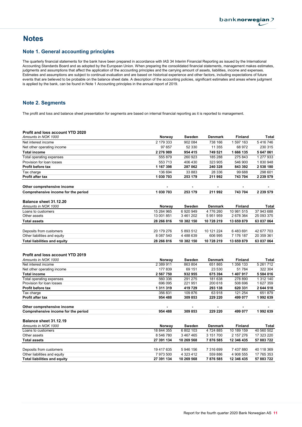## **Notes**

### Note 1. General accounting principles

The quarterly financial statements for the bank have been prepared in accordance with IAS 34 Interim Financial Reporting as issued by the International Accounting Standards Board and as adopted by the European Union. When preparing the consolidated financial statements, management makes estimates, judgments and assumptions that affect the application of the accounting principles and the carrying amount of assets, liabilities, income and expenses. Estimates and assumptions are subject to continual evaluation and are based on historical experience and other factors, including expectations of future events that are believed to be probable on the balance sheet date. A description of the accounting policies, significant estimates and areas where judgment is applied by the bank, can be found in Note 1 Accounting principles in the annual report of 2019.

## Note 2. Segments

The profit and loss and balance sheet presentation for segments are based on internal financial reporting as it is reported to management.

| <b>Profit and loss account YTD 2020</b>    |                     |                   |                           |                             |                    |
|--------------------------------------------|---------------------|-------------------|---------------------------|-----------------------------|--------------------|
| Amounts in NOK 1000                        | Norway              | Sweden            | <b>Denmark</b>            | <b>Finland</b>              | Total              |
| Net interest income                        | 2 179 333           | 902 084           | 738 166                   | 1 597 163                   | 5416746            |
| Net other operating income                 | 97 657              | 52 330            | 11 355                    | 68 972                      | 230 315            |
| <b>Total income</b>                        | 2 276 989           | 954 415           | 749 521                   | 1666 135                    | 5 647 061          |
| Total operating expenses                   | 555 879             | 260 923           | 185 288                   | 275 843                     | 1 277 933          |
| Provision for loan losses                  | 553713              | 406 430           | 323 905                   | 546 900                     | 1830948            |
| <b>Profit before tax</b>                   | 1 167 398           | 287 062           | 240 328                   | 843 392                     | 2 538 180          |
| Tax charge                                 | 136 694             | 33 883            | 28 336                    | 99 688                      | 298 601            |
| Profit after tax                           | 1 030 703           | 253 179           | 211 992                   | 743 704                     | 2 2 3 5 5 7 9      |
| Other comprehensive income                 |                     |                   |                           |                             |                    |
| Comprehensive income for the period        | 1 030 703           | 253 179           | 211 992                   | 743 704                     | 2 239 579          |
| Balance sheet 31.12.20                     |                     |                   |                           |                             |                    |
| Amounts in NOK 1000                        | Norway              | Sweden            | <b>Denmark</b>            | <b>Finland</b>              | Total              |
| Loans to customers                         | 15 264 965          | 6 920 949         | 4776260                   | 10 981 515                  | 37 943 688         |
| Other assets                               | 13 001 851          | 3 461 202         | 5 951 959                 | 2 678 364                   | 25 093 375         |
| <b>Total assets</b>                        | 28 266 816          | 10 382 150        | 10 728 219                | 13 659 879                  | 63 037 064         |
|                                            |                     |                   |                           |                             |                    |
| Deposits from customers                    | 20 179 276          | 5 893 512         | 10 121 224                | 6483691                     | 42 677 703         |
| Other liabilities and equity               | 8 087 540           | 4 488 639         | 606 995                   | 7 176 187                   | 20 359 361         |
| <b>Total liabilities and equity</b>        | 28 266 816          | 10 382 150        | 10 728 219                | 13 659 879                  | 63 037 064         |
| <b>Profit and loss account YTD 2019</b>    |                     |                   |                           |                             |                    |
| Amounts in NOK 1000<br>Net interest income | Norway<br>2 389 911 | Sweden<br>863 804 | <b>Denmark</b><br>651 865 | <b>Finland</b><br>1 356 133 | Total<br>5 261 712 |
| Net other operating income                 | 177839              | 69 151            | 23 530                    | 51784                       | 322 304            |
| <b>Total income</b>                        | 2 567 750           | 932 955           | 675 394                   | 1 407 917                   | 5 584 016          |
| Total operating expenses                   | 560 336             | 291 275           | 181 638                   | 278 890                     | 1 312 140          |
| Provision for loan losses                  | 696 095             | 221 951           | 200 618                   | 508 696                     | 1 627 359          |
| Profit before tax                          | 1 311 319           | 419729            | 293 138                   | 620 331                     | 2 644 518          |
| Tax charge                                 | 356 831             | 109 876           | 63918                     | 121 254                     | 651879             |
| <b>Profit after tax</b>                    | 954 488             | 309 853           | 229 220                   | 499 077                     | 1992639            |
| Other comprehensive income                 |                     |                   |                           |                             |                    |
| Comprehensive income for the period        | 954 488             | 309853            | 229 220                   | 499 077                     | 1992639            |
|                                            |                     |                   |                           |                             |                    |
| Balance sheet 31.12.19                     |                     |                   |                           |                             |                    |
| Amounts in NOK 1000                        | Norway              | Sweden            | <b>Denmark</b>            | <b>Finland</b>              | Total              |
| Loans to customers                         | 18 844 355          | 6 802 103         | 4 724 885                 | 10 189 159                  | 40 560 502         |
| Other assets                               | 8 546 780           | 3 467 465         | 3 151 700                 | 2 157 276                   | 17 323 220         |
| <b>Total assets</b>                        | 27 391 134          | 10 269 568        | 7876585                   | 12 346 435                  | 57 883 722         |
| Deposits from customers                    | 19 417 635          | 5 946 156         | 7 316 699                 | 7 437 880                   | 40 118 369         |
| Other liabilities and equity               | 7 973 500           | 4 323 412         | 559 886                   | 4 908 555                   | 17 765 353         |
| <b>Total liabilities and equity</b>        | 27 391 134          | 10 269 568        | 7876585                   | 12 346 435                  | 57 883 722         |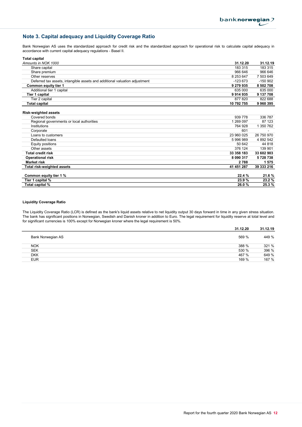## Note 3. Capital adequacy and Liquidity Coverage Ratio

Bank Norwegian AS uses the standardized approach for credit risk and the standardized approach for operational risk to calculate capital adequacy in accordance with current capital adequacy regulations - Basel II.

| <b>Total capital</b>                                                       |            |            |
|----------------------------------------------------------------------------|------------|------------|
| Amounts in NOK 1000                                                        | 31.12.20   | 31.12.19   |
| Share capital                                                              | 183 315    | 183 315    |
| Share premium                                                              | 966 646    | 966 646    |
| Other reserves                                                             | 8 253 647  | 7 503 649  |
| Deferred tax assets, intangible assets and additional valuation adjustment | $-123673$  | $-150902$  |
| Common equity tier 1                                                       | 9 279 935  | 8 502 708  |
| Additional tier 1 capital                                                  | 635 000    | 635 000    |
| Tier 1 capital                                                             | 9914935    | 9 137 708  |
| Tier 2 capital                                                             | 877 820    | 822 688    |
| <b>Total capital</b>                                                       | 10 792 755 | 9960395    |
| <b>Risk-weighted assets</b>                                                |            |            |
| Covered bonds                                                              | 939 778    | 336 787    |
| Regional governments or local authorities                                  | 1 269 097  | 87 123     |
| Institutions                                                               | 764 928    | 1 350 762  |
| Corporate                                                                  | 601        |            |
| Loans to customers                                                         | 23 960 025 | 26 750 970 |
| Defaulted loans                                                            | 5 996 989  | 4 892 542  |
| Equity positions                                                           | 50 642     | 44 818     |
| Other assets                                                               | 376 124    | 139 901    |
| <b>Total credit risk</b>                                                   | 33 358 183 | 33 602 903 |
| <b>Operational risk</b>                                                    | 8 090 317  | 5728738    |
| <b>Market risk</b>                                                         | 2788       | 1575       |
| Total risk-weighted assets                                                 | 41 451 287 | 39 333 216 |
| Common equity tier 1 %                                                     | 22.4 %     | 21.6 %     |
| Tier 1 capital %                                                           | 23.9%      | 23.2%      |
| Total capital %                                                            | 26.0%      | 25.3%      |

#### Liquidity Coverage Ratio

The Liquidity Coverage Ratio (LCR) is defined as the bank's liquid assets relative to net liquidity output 30 days forward in time in any given stress situation. The bank has significant positions in Norwegian, Swedish and Danish kroner in addition to Euro. The legal requirement for liquidity reserve at total level and for significant currencies is 100% except for Norwegian kroner where the legal requirement is 50%.

|                   | 31.12.20 | 31.12.19 |
|-------------------|----------|----------|
| Bank Norwegian AS | 569 %    | 449 %    |
| <b>NOK</b>        | 388 %    | 321 %    |
| <b>SEK</b>        | 530 %    | 396 %    |
| <b>DKK</b>        | 467 %    | 649 %    |
| <b>EUR</b>        | 169 %    | 167 %    |
|                   |          |          |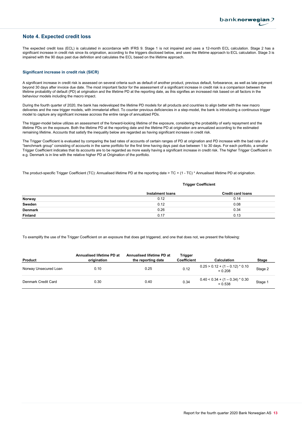## Note 4. Expected credit loss

The expected credit loss (ECL) is calculated in accordance with IFRS 9. Stage 1 is not impaired and uses a 12-month ECL calculation. Stage 2 has a significant increase in credit risk since its origination, according to the triggers disclosed below, and uses the lifetime approach to ECL calculation. Stage 3 is impaired with the 90 days past due definition and calculates the ECL based on the lifetime approach.

#### Significant increase in credit risk (SICR)

A significant increase in credit risk is assessed on several criteria such as default of another product, previous default, forbearance, as well as late payment beyond 30 days after invoice due date. The most important factor for the assessment of a significant increase in credit risk is a comparison between the lifetime probability of default (PD) at origination and the lifetime PD at the reporting date, as this signifies an increased risk based on all factors in the behaviour models including the macro impact.

During the fourth quarter of 2020, the bank has redeveloped the lifetime PD models for all products and countries to align better with the new macro deliveries and the new trigger models, with immaterial effect. To counter previous deficiencies in a step-model, the bank is introducing a continuous trigger model to capture any significant increase accross the entire range of annualized PDs.

The trigger-model below utilizes an assessment of the forward-looking lifetime of the exposure, considering the probability of early repayment and the lifetime PDs on the exposure. Both the lifetime PD at the reporting date and the lifetime PD at origination are annualized according to the estimated remaining lifetime. Accounts that satisfy the inequality below are regarded as having significant increase in credit risk.

The Trigger Coefficient is evaluated by comparing the bad rates of accounts of certain ranges of PD at origination and PD increase with the bad rate of a "benchmark group" consisting of accounts in the same portfolio for the first time having days past due between 1 to 30 days. For each portfolio, a smaller Trigger Coefficient indicates that its accounts are to be regarded as more easily having a significant increase in credit risk. The higher Trigger Coefficient in e.g. Denmark is in line with the relative higher PD at Origination of the portfolio.

The product-specific Trigger Coefficient (TC): Annualised lifetime PD at the reporting date > TC + (1 - TC) \* Annualised lifetime PD at origination.

#### Trigger Coefficient

|                | Instalment loans | <b>Credit card loans</b> |
|----------------|------------------|--------------------------|
| Norway         | 0.12             | 0.14                     |
| Sweden         | 0.12             | 0.08                     |
| <b>Denmark</b> | 0.26             | 0.34                     |
| Finland        | 0.17             | 0.13                     |

To exemplify the use of the Trigger Coefficient on an exposure that does get triggered, and one that does not, we present the following:

| Product               | Annualised lifetime PD at<br>origination | Annualised lifetime PD at<br>the reporting date | Trigger<br><b>Coefficient</b> | <b>Calculation</b>                             | Stage   |
|-----------------------|------------------------------------------|-------------------------------------------------|-------------------------------|------------------------------------------------|---------|
| Norway Unsecured Loan | 0.10                                     | 0.25                                            | 0.12                          | $0.25 > 0.12 + (1 - 0.12)^* 0.10$<br>$= 0.208$ | Stage 2 |
| Denmark Credit Card   | 0.30                                     | 0.40                                            | 0.34                          | $0.40 < 0.34 + (1 - 0.34) * 0.30$<br>$= 0.538$ | Stage 1 |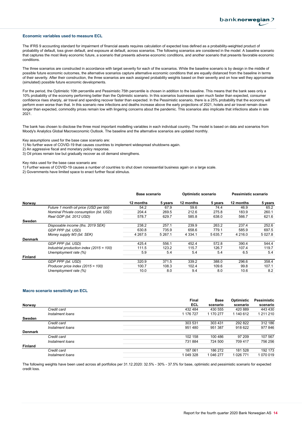#### Economic variables used to measure ECL

The IFRS 9 accounting standard for impairment of financial assets requires calculation of expected loss defined as a probability-weighted product of probability of default, loss given default, and exposure at default, across scenarios. The following scenarios are considered in the model: A baseline scenario that captures the most likely economic future, a scenario that presents adverse economic conditions, and another scenario that presents favorable economic conditions.

The three scenarios are constructed in accordance with target severity for each of the scenarios. While the baseline scenario is by design in the middle of possible future economic outcomes, the alternative scenarios capture alternative economic conditions that are equally distanced from the baseline in terms of their severity. After their construction, the three scenarios are each assigned probability weights based on their severity and on how well they approximate (simulated) possible future economic developments.

For the period, the Optimistic 10th percentile and Pessimistic 75th percentile is chosen in addition to the baseline. This means that the bank sees only a 10% probability of the economy performing better than the Optimistic scenario. In this scenarios businesses open much faster than expected, consumer confidence rises sharply, air travel and spending recover faster than expected. In the Pessimistic scenario, there is a 25% probability that the economy will perform even worse than that. In this scenario new infections and deaths increase above the early projections of 2021, hotels and air travel remain down longer than expected, commodity prices remain low with lingering concerns about the pandemic. This scenarios also implicate that infections abate in late 2021.

The bank has chosen to disclose the three most important modelling variables in each individual country. The model is based on data and scenarios from Moody's Analytics Global Macroeconomic Outlook. The baseline and the alternative scenarios are updated monthly.

Key assumptions used for the base case scenario are:

1) No further wave of COVID-19 that causes countries to implement widespread shutdowns again.

2) An aggressive fiscal and monetary policy response.

3) Oil prices remain low but gradually recover as oil demand strengthens.

Key risks used for the base case scenario are:

1) Further waves of COVID-19 causes a number of countries to shut down nonessential business again on a large scale.

2) Governments have limited space to enact further fiscal stimulus.

|                |                                            | Base scenario |             | Optimistic scenario |         | Pessimistic scenario |          |
|----------------|--------------------------------------------|---------------|-------------|---------------------|---------|----------------------|----------|
| Norway         |                                            | 12 months     | 5 years     | 12 months           | 5 years | 12 months            | 5 years  |
|                | Future 1 month oil price (USD per bbl)     | 54.2          | 67.9        | 59.6                | 74.4    | 46.9                 | 65.2     |
|                | Nominal Private consumption (bil. USD)     | 204.4         | 269.5       | 212.6               | 275.8   | 183.9                | 260.1    |
|                | Real GDP (bil. 2012 USD)                   | 578.7         | 629.7       | 585.8               | 638.0   | 566.7                | 621.6    |
| Sweden         |                                            |               |             |                     |         |                      |          |
|                | Disposable income (ths. 2019 SEK)          | 238.2         | 257.1       | 239.9               | 263.2   | 237.4                | 252.6    |
|                | GDP PPP (bil. USD)                         | 630.8         | 735.9       | 658.6               | 779.1   | 585.9                | 697.5    |
|                | Money supply M3 (bil. SEK)                 | 4 2 6 7 .5    | 5 2 6 7 . 1 | 4 3 3 4 . 1         | 5 635.7 | 4 2 1 6 .0           | 5 0 27.8 |
| <b>Denmark</b> |                                            |               |             |                     |         |                      |          |
|                | GDP PPP (bil. USD)                         | 425.4         | 556.1       | 452.4               | 572.8   | 390.4                | 544.4    |
|                | Industrial production index $(2015 = 100)$ | 111.5         | 123.2       | 115.7               | 126.7   | 107.4                | 119.7    |
|                | Unemployment rate (%)                      | 5.9           | 5.4         | 5.4                 | 5.4     | 6.5                  | 5.4      |
| <b>Finland</b> |                                            |               |             |                     |         |                      |          |
|                | GDP PPP (bil. USD)                         | 320.9         | 371.5       | 339.2               | 388.0   | 296.6                | 358.4    |
|                | Producer price index $(2015 = 100)$        | 100.7         | 108.3       | 102.4               | 109.6   | 99.8                 | 107.1    |
|                | Unemployment rate (%)                      | 10.0          | 8.0         | 9.4                 | 8.0     | 10.6                 | 8.2      |

#### Macro scenario sensitivity on ECL

|                |                  | <b>Final</b> | <b>Base</b> | Optimistic | Pessimistic |
|----------------|------------------|--------------|-------------|------------|-------------|
| Norway         |                  | ECL          | scenario    | scenario   | scenario    |
|                | Credit card      | 432 484      | 430 555     | 420 889    | 443 430     |
|                | Instalment loans | 1 176 727    | 1 170 277   | 1 140 612  | 1 211 210   |
| Sweden         |                  |              |             |            |             |
|                | Credit card      | 303 531      | 303 431     | 292 822    | 312 186     |
|                | Instalment loans | 951 480      | 951 387     | 918 622    | 977846      |
| <b>Denmark</b> |                  |              |             |            |             |
|                | Credit card      | 102 158      | 100 486     | 97 209     | 107 567     |
|                | Instalment loans | 731 884      | 724 500     | 709 417    | 756 256     |
| <b>Finland</b> |                  |              |             |            |             |
|                | Credit card      | 187 061      | 186 272     | 181 528    | 192 173     |
|                | Instalment loans | 1 049 328    | 1 046 277   | 1 026 771  | 1 070 019   |
|                |                  |              |             |            |             |

The following weights have been used across all portfolios per 31.12.2020: 32.5% - 30% - 37.5% for base, optimistic and pessimistic scenario for expected credit loss.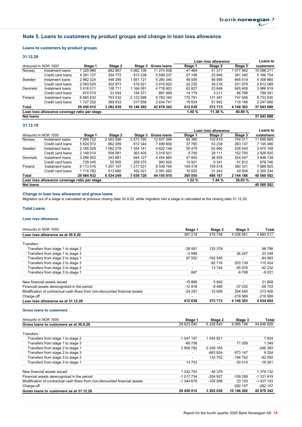## Note 5. Loans to customers by product groups and change in loan loss allowance

#### Loans to customers by product groups

#### 31.12.20

|                  |                                              |            |           |            |                    | Loan loss allowance |         |           | Loans to   |
|------------------|----------------------------------------------|------------|-----------|------------|--------------------|---------------------|---------|-----------|------------|
|                  | Amounts in NOK 1000                          | Stage 1    | Stage 2   | Stage 3    | <b>Gross Ioans</b> | Stage 1             | Stage 2 | Stage 3   | customers  |
| Norway           | Instalment loans                             | 7 329 966  | 882 867   | 3 062 106  | 11 274 938         | 47469               | 51 317  | 077 942   | 10 098 211 |
|                  | Credit card loans                            | 4 381 127  | 304 772   | 913 338    | 5 599 237          | 27 199              | 23 940  | 381 345   | 5 166 754  |
| Sweden           | Instalment loans                             | 2962324    | 446 295   | 1851721    | 5 260 340          | 48 005              | 56 956  | 846 519   | 4 308 860  |
|                  | Credit card loans                            | 2 093 625  | 302 973   | 519021     | 2915620            | 22 2 35             | 30 218  | 251 079   | 2612089    |
| Denmark          | Instalment loans                             | 3416011    | 138 711   | 1 164 081  | 4 718 803          | 62 827              | 23 649  | 645 408   | 3986919    |
|                  | Credit card loans                            | 674 074    | 23 054    | 194 371    | 891 499            | 14 179              | 3 2 1 1 | 84 768    | 789 341    |
| Finland          | Instalment loans                             | 6865633    | 793 532   | 2 123 998  | 9 783 164          | 170 791             | 131 481 | 747 056   | 8 733 835  |
|                  | Credit card loans                            | 1 727 252  | 389 833   | 317 656    | 2 434 741          | 19 9 34             | 51 942  | 115 186   | 2 247 680  |
| Total            |                                              | 29 450 012 | 3 282 038 | 10 146 292 | 42 878 342         | 412 638             | 372 713 | 4 149 303 | 37 943 688 |
|                  | Loan loss allowance coverage ratio per stage |            |           |            |                    | 1.40%               | 11.36 % | 40.89 %   |            |
| <b>Net loans</b> |                                              |            |           |            |                    |                     |         |           | 37 943 688 |

#### 31.12.19

|                  |                                              |            |           |           |               |         | Loan loss allowance |           | Loans to   |
|------------------|----------------------------------------------|------------|-----------|-----------|---------------|---------|---------------------|-----------|------------|
|                  | Amounts in NOK 1000                          | Stage 1    | Stage 2   | Stage 3   | Gross Ioans   | Stage 1 | Stage 2             | Stage 3   | customers  |
| Norway           | Instalment loans                             | 7 999 722  | 2 063 588 | 2 573 790 | 12 637 099    | 80 380  | 103819              | 754 011   | 11 698 889 |
|                  | Credit card loans                            | 5 824 972  | 862 289   | 812 344   | 7499606       | 37 765  | 53 238              | 263 137   | 7 145 466  |
| Sweden           | Instalment loans                             | 2 185 929  | 1 082 078 | 1 354 141 | 4 622 148     | 55 4 79 | 62 960              | 528 540   | 3 975 168  |
|                  | Credit card loans                            | 2 149 014  | 506 081   | 363 405   | 3 018 501     | 9750    | 29 111              | 152 705   | 2826935    |
| Denmark          | Instalment loans                             | 3 266 952  | 243 881   | 944 127   | 4 4 5 4 9 6 0 | 47 840  | 36 935              | 524 047   | 3 846 139  |
|                  | Credit card loans                            | 729 045    | 55 505    | 209 370   | 993 920       | 13921   | 9 3 4 1             | 91 912    | 878 746    |
| Finland          | Instalment loans                             | 6 113 516  | 1 207 147 | 1 217 531 | 8 538 194     | 109 419 | 159 519             | 380 331   | 7888925    |
|                  | Credit card loans                            | 1 715 782  | 513 680   | 162 021   | 2 391 482     | 10 502  | 31 243              | 49 504    | 2 300 234  |
| Total            |                                              | 29 984 932 | 6 534 249 | 7 636 728 | 44 155 910    | 365 055 | 486 167             | 2 744 186 | 40 560 502 |
|                  | Loan loss allowance coverage ratio per stage |            |           |           |               | 1.22%   | 7.44 %              | 35.93 %   |            |
| <b>Net loans</b> |                                              |            |           |           |               |         |                     |           | 40 560 502 |

## Change in loan loss allowance and gross loans

Migration out of a stage is calculated at previous closing date 30.9.20, while migration into a stage is calculated at the closing date 31.12.20.

### Total Loans

#### Loan loss allowance

| Amounts in NOK 1000                                                         | Stage 1                  | Stage 2   | Stage 3    | <b>Total</b>  |
|-----------------------------------------------------------------------------|--------------------------|-----------|------------|---------------|
| Loan loss allowance as at 30.9.20                                           | 367 219                  | 478 738   | 4 038 561  | 4 8 8 4 5 1 7 |
| Transfers:                                                                  |                          |           |            |               |
| Transfers from stage 1 to stage 2                                           | $-28.581$                | 125 379   | ۰          | 96 798        |
| Transfers from stage 1 to stage 3                                           | $-2998$                  |           | 26 247     | 23 249        |
| Transfers from stage 2 to stage 1                                           | 97 552                   | $-182545$ |            | $-84993$      |
| Transfers from stage 2 to stage 3                                           | $\overline{\phantom{a}}$ | $-92716$  | 203 139    | 110 424       |
| Transfers from stage 3 to stage 2                                           | $\overline{\phantom{a}}$ | 13744     | $-55976$   | -42 232       |
| Transfers from stage 3 to stage 1                                           | 687                      |           | $-9708$    | $-9021$       |
| New financial assets issued                                                 | 15866                    | 5942      | ۰          | 21 808        |
| Financial assets derecognized in the period                                 | $-12816$                 | -9 485    | $-37432$   | -59 733       |
| Modification of contractual cash flows from non-discounted financial assets | $-24291$                 | 33 656    | 204 040    | 213 405       |
| Charge-off                                                                  | $\overline{\phantom{a}}$ |           | $-219.569$ | $-219569$     |
| Loan loss allowance as at 31.12.20                                          | 412 638                  | 372 713   | 4 149 303  | 4 934 654     |

#### Gross loans to customers

| Amounts in NOK 1000                                                         | Stage 1                  | Stage 2     | Stage 3                  | Total      |
|-----------------------------------------------------------------------------|--------------------------|-------------|--------------------------|------------|
| Gross loans to customers as at 30.9.20                                      | 28 623 040               | 6 228 640   | 9 9 9 5 1 4 8            | 44 846 828 |
| Transfers:                                                                  |                          |             |                          |            |
| Transfers from stage 1 to stage 2                                           | -1 047 197               | 1 0 54 8 21 | ۰                        | 7624       |
| Transfers from stage 1 to stage 3                                           | $-69708$                 |             | 71 058                   | 1 3 4 9    |
| Transfers from stage 2 to stage 1                                           | 2959782                  | -3 206 165  | ۰                        | $-246383$  |
| Transfers from stage 2 to stage 3                                           | $\overline{\phantom{a}}$ | $-663824$   | 673 147                  | 9 3 2 4    |
| Transfers from stage 3 to stage 2                                           | $\overline{\phantom{a}}$ | 132 702     | -194 752                 | $-62050$   |
| Transfers from stage 3 to stage 1                                           | 13753                    |             | $-30014$                 | $-16261$   |
| New financial assets issued                                                 | 1 332 753                | 46 379      | $\overline{\phantom{a}}$ | 1 379 132  |
| Financial assets derecognized in the period                                 | $-1017734$               | $-204927$   | $-109258$                | -1 331 919 |
| Modification of contractual cash flows from non-discounted financial assets | $-1344676$               | $-105588$   | 23 120                   | $-1427143$ |
| Charge-off                                                                  | $\overline{\phantom{0}}$ |             | $-282$ 157               | $-282$ 157 |
| Gross loans to customers as at 31.12.20                                     | 29 450 012               | 3 282 038   | 10 146 292               | 42 878 342 |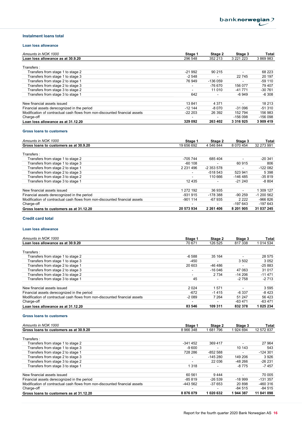#### Instalment loans total

#### Loan loss allowance

| Amounts in NOK 1000                                                         | Stage 1                  | Stage 2  | Stage 3       | Total     |
|-----------------------------------------------------------------------------|--------------------------|----------|---------------|-----------|
| Loan loss allowance as at 30.9.20                                           | 296 548                  | 352 213  | 3 2 2 1 2 2 3 | 3 869 983 |
| Transfers:                                                                  |                          |          |               |           |
| Transfers from stage 1 to stage 2                                           | $-21992$                 | 90 215   | ۰             | 68 223    |
| Transfers from stage 1 to stage 3                                           | $-2548$                  |          | 22745         | 20 197    |
| Transfers from stage 2 to stage 1                                           | 76 949                   | -136 059 |               | $-59110$  |
| Transfers from stage 2 to stage 3                                           | $\overline{\phantom{a}}$ | -76 670  | 156 077       | 79 407    |
| Transfers from stage 3 to stage 2                                           | $\blacksquare$           | 11 010   | $-41771$      | $-30761$  |
| Transfers from stage 3 to stage 1                                           | 642                      |          | -6 949        | -6 308    |
| New financial assets issued                                                 | 13841                    | 4 3 7 1  | ۰             | 18 213    |
| Financial assets derecognized in the period                                 | $-12144$                 | $-8070$  | $-31096$      | $-51310$  |
| Modification of contractual cash flows from non-discounted financial assets | $-22223$                 | 26 392   | 152 794       | 156 983   |
| Charge-off                                                                  | $\blacksquare$           |          | $-156098$     | $-156098$ |
| Loan loss allowance as at 31.12.20                                          | 329 092                  | 263 402  | 3 3 1 6 9 2 5 | 3 909 419 |

#### Gross loans to customers

| Amounts in NOK 1000                                                         | Stage 1                  | Stage 2       | Stage 3   | Total      |
|-----------------------------------------------------------------------------|--------------------------|---------------|-----------|------------|
| Gross loans to customers as at 30.9.20                                      | 19 656 692               | 4 546 844     | 8 070 454 | 32 273 991 |
| Transfers:                                                                  |                          |               |           |            |
| Transfers from stage 1 to stage 2                                           | -705 744                 | 685 404       |           | $-20.341$  |
| Transfers from stage 1 to stage 3                                           | $-60,108$                |               | 60 915    | 806        |
| Transfers from stage 2 to stage 1                                           | 2 2 3 1 4 9 6            | $-2353578$    | ۰         | $-122082$  |
| Transfers from stage 2 to stage 3                                           | $\overline{\phantom{a}}$ | $-518543$     | 523 941   | 5 3 9 8    |
| Transfers from stage 3 to stage 2                                           | $\overline{\phantom{a}}$ | 110 666       | -146 485  | $-35819$   |
| Transfers from stage 3 to stage 1                                           | 12 4 3 5                 |               | $-21240$  | $-8804$    |
| New financial assets issued                                                 | 1 272 192                | 36 935        | $\sim$    | 1 309 127  |
| Financial assets derecognized in the period                                 | $-931915$                | -178 388      | $-90259$  | $-1200562$ |
| Modification of contractual cash flows from non-discounted financial assets | $-901114$                | $-67935$      | 2 2 2 2   | $-966826$  |
| Charge-off                                                                  | $\overline{\phantom{a}}$ |               | -197 643  | $-197643$  |
| Gross loans to customers as at 31.12.20                                     | 20 573 934               | 2 2 6 1 4 0 6 | 8 201 905 | 31 037 245 |

#### Credit card total

#### Loan loss allowance

| Amounts in NOK 1000                                                         | Stage 1                  | Stage 2                  | Stage 3  | <b>Total</b> |
|-----------------------------------------------------------------------------|--------------------------|--------------------------|----------|--------------|
| Loan loss allowance as at 30.9.20                                           | 70 671                   | 126 525                  | 817338   | 1 0 14 5 34  |
|                                                                             |                          |                          |          |              |
| Transfers:                                                                  |                          |                          |          |              |
| Transfers from stage 1 to stage 2                                           | $-6588$                  | 35 164                   |          | 28 575       |
| Transfers from stage 1 to stage 3                                           | $-450$                   |                          | 3 5 0 2  | 3 0 5 2      |
| Transfers from stage 2 to stage 1                                           | 20 603                   | -46 486                  |          | $-25883$     |
| Transfers from stage 2 to stage 3                                           | $\overline{\phantom{a}}$ | $-16046$                 | 47 063   | 31 0 17      |
| Transfers from stage 3 to stage 2                                           | $\overline{\phantom{a}}$ | 2 7 3 4                  | $-14206$ | $-11471$     |
| Transfers from stage 3 to stage 1                                           | 45                       | $\overline{\phantom{a}}$ | $-2758$  | $-2713$      |
| New financial assets issued                                                 | 2024                     | 1571                     | ۰        | 3595         |
| Financial assets derecognized in the period                                 | $-672$                   | $-1415$                  | $-6.337$ | $-8423$      |
| Modification of contractual cash flows from non-discounted financial assets | $-2089$                  | 7 2 6 4                  | 51 247   | 56 423       |
| Charge-off                                                                  | $\overline{\phantom{a}}$ |                          | -63 471  | -63 471      |
| Loan loss allowance as at 31.12.20                                          | 83 546                   | 109 311                  | 832 378  | 1 025 234    |

#### Gross loans to customers

| Amounts in NOK 1000                                                         | Stage 1                  | Stage 2   | Stage 3  | <b>Total</b> |
|-----------------------------------------------------------------------------|--------------------------|-----------|----------|--------------|
| Gross loans to customers as at 30.9.20                                      | 8 966 348                | 681 796   | 924 694  | 12 572 837   |
|                                                                             |                          |           |          |              |
| Transfers:                                                                  |                          |           |          |              |
| Transfers from stage 1 to stage 2                                           | $-341452$                | 369 417   |          | 27 964       |
| Transfers from stage 1 to stage 3                                           | $-9600$                  |           | 10 143   | 543          |
| Transfers from stage 2 to stage 1                                           | 728 286                  | $-852588$ |          | $-124301$    |
| Transfers from stage 2 to stage 3                                           | $\overline{\phantom{a}}$ | $-145280$ | 149 206  | 3926         |
| Transfers from stage 3 to stage 2                                           | $\overline{\phantom{a}}$ | 22 036    | $-48266$ | $-26231$     |
| Transfers from stage 3 to stage 1                                           | 1 3 1 8                  |           | -8 775   | $-7457$      |
|                                                                             |                          |           |          |              |
| New financial assets issued                                                 | 60 561                   | 9444      | ۰        | 70 005       |
| Financial assets derecognized in the period                                 | $-85819$                 | $-26539$  | $-18999$ | $-131.357$   |
| Modification of contractual cash flows from non-discounted financial assets | -443 562                 | $-37653$  | 20 898   | $-460316$    |
| Charge-off                                                                  | -                        |           | $-84515$ | $-84515$     |
| Gross loans to customers as at 31.12.20                                     | 8876079                  | 1 020 632 | 1944387  | 11 841 098   |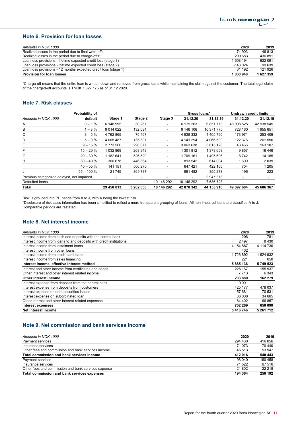## Note 6. Provision for loan losses

| Amounts in NOK 1000                                             | 2020      | 2019      |
|-----------------------------------------------------------------|-----------|-----------|
| Realized losses in the period due to final write-offs           | 74 903    | 46 813    |
| Realized losses in the period due to charge-offs*               | 209 683   | 436 891   |
| Loan loss provisions - lifetime expected credit loss (stage 3)  | 658 194   | 922 091   |
| Loan loss provisions - lifetime expected credit loss (stage 2)  | $-143024$ | 99 639    |
| Loan loss provisions - 12 months expected credit loss (stage 1) | 31 192    | 121 926   |
| <b>Provision for loan losses</b>                                | 1830948   | 1 627 359 |

\*Charge-off means that the entire loan is written down and removed from gross loans while maintaining the claim against the customer. The total legal claim of the charged-off accounts is TNOK 1 827 175 as of 31.12.2020.

## Note 7. Risk classes

|                                            | Probability of |             |           |                          | Gross Ioans*             |               | <b>Undrawn credit limits</b> |            |
|--------------------------------------------|----------------|-------------|-----------|--------------------------|--------------------------|---------------|------------------------------|------------|
| Amounts in NOK 1000                        | default        | Stage 1     | Stage 2   | Stage 3                  | 31.12.20                 | 31.12.19      | 31.12.20                     | 31.12.19   |
| A                                          | $0 - 1%$       | 6 148 995   | 30 267    | ۰.                       | 6 179 263                | 6851773       | 48 008 525                   | 42 938 545 |
| В                                          | $1 - 3%$       | 9 0 14 0 22 | 132 084   | $\overline{\phantom{0}}$ | 9 146 106                | 10 371 775    | 728 160                      | 955 651    |
| C                                          | $3 - 5%$       | 4762865     | 75 467    | $\overline{\phantom{0}}$ | 4 838 332                | 4 4 0 5 7 9 0 | 173 971                      | 253 409    |
| D                                          | $5 - 9%$       | 4 005 487   | 135 807   | $\overline{\phantom{0}}$ | 4 141 294                | 4 066 599     | 122 376                      | 261 556    |
| Е                                          | $9 - 15 \%$    | 2 773 560   | 290 077   | $\overline{\phantom{0}}$ | 3 063 638                | 3 615 128     | 43 4 66                      | 163 107    |
| F                                          | $15 - 20%$     | 1 032 869   | 268 943   | ۰.                       | 1 301 812                | 1 373 658     | 9857                         | 16 446     |
| G                                          | $20 - 30 \%$   | 1 182 641   | 526 520   | ۰.                       | 1709 161                 | 1495696       | 8742                         | 14 185     |
| н                                          | $30 - 40%$     | 366 678     | 446 864   |                          | 813 542                  | 614 004       | 1 609                        | 2 0 3 9    |
|                                            | $40 - 55%$     | 141 151     | 506 270   |                          | 647 421                  | 422 106       | 704                          | 1 2 0 5    |
| J                                          | $55 - 100 %$   | 21 745      | 869 737   |                          | 891 482                  | 355 278       | 196                          | 223        |
| Previous categorized delayed, not impaired |                | ۰           | ۰         | -                        | $\overline{\phantom{0}}$ | 2 947 373     | $\overline{\phantom{a}}$     |            |
| Defaulted loans                            |                |             | ۰         | 10 146 292               | 10 146 292               | 7 636 728     |                              |            |
| Total                                      |                | 29 450 013  | 3 282 038 | 10 146 292               | 42 878 342               | 44 155 910    | 49 097 604                   | 45 606 367 |

Risk is grouped into PD bands from A to J, with A being the lowest risk.

\*Disclosure of risk class information has been simplified to reflect a more transparent grouping of loans. All non-impaired loans are classified A to J. Comparable periods are restated.

## Note 8. Net interest income

| Amounts in NOK 1000                                                 | 2020      | 2019      |
|---------------------------------------------------------------------|-----------|-----------|
| Interest income from cash and deposits with the central bank        | 206       | 781       |
| Interest income from loans to and deposits with credit institutions | 2497      | 8430      |
| Interest income from instalment loans                               | 4 154 887 | 4 114 730 |
| Interest income from other loans                                    | 432       |           |
| Interest income from credit card loans                              | 1726892   | 1624932   |
| Interest income from sales financing                                | 221       | 650       |
| Interest income, effective interest method                          | 5885136   | 5 749 523 |
| Interest and other income from certificates and bonds               | 226 167   | 155 937   |
| Other interest and other interest related income                    | 7 7 1 3   | 6 3 4 3   |
| Other interest income                                               | 233 880   | 162 279   |
| Interest expense from deposits from the central bank                | 19 001    |           |
| Interest expense from deposits from customers                       | 425 177   | 478 037   |
| Interest expense on debt securities issued                          | 157 681   | 70 531    |
| Interest expense on subordinated loan                               | 36 008    | 34 665    |
| Other interest and other interest related expenses                  | 64 402    | 66 857    |
| Interest expenses                                                   | 702 269   | 650 090   |
| Net interest income                                                 | 5416746   | 5 261 712 |

## Note 9. Net commission and bank services income

| Amounts in NOK 1000                                 | 2020    | 2019    |
|-----------------------------------------------------|---------|---------|
| Payment services                                    | 294 430 | 416 056 |
| Insurance services                                  | 71 073  | 70 440  |
| Other fees and commission and bank services income  | 46 513  | 53 947  |
| Total commission and bank services income           | 412016  | 540 443 |
| Payment services                                    | 98 040  | 160 458 |
| Insurance services                                  | 71 522  | 67 516  |
| Other fees and commission and bank services expense | 24 802  | 22 218  |
| Total commission and bank services expenses         | 194 364 | 250 192 |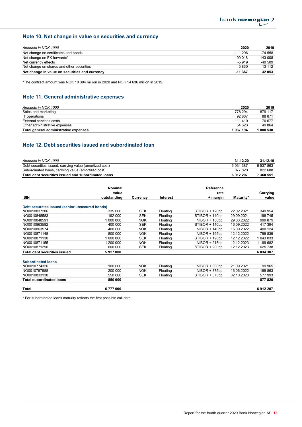## Note 10. Net change in value on securities and currency

| Amounts in NOK 1000                            | 2020      | 2019    |
|------------------------------------------------|-----------|---------|
| Net change on certificates and bonds           | $-111296$ | -74 558 |
| Net change on FX-forwards*                     | 100 018   | 143 008 |
| Net currency effects                           | $-5919$   | -49 509 |
| Net change on shares and other securities      | 5830      | 13 112  |
| Net change in value on securities and currency | $-11367$  | 32 053  |

\*The contract amount was NOK 10 394 million in 2020 and NOK 14 636 million in 2019.

## Note 11. General administrative expenses

| Amounts in NOK 1000                   | 2020      | 2019    |
|---------------------------------------|-----------|---------|
| Sales and marketing                   | 778 294   | 879 117 |
| IT operations                         | 92 867    | 88 871  |
| External services costs               | 111 410   | 70 677  |
| Other administrative expenses         | 54 623    | 49 864  |
| Total general administrative expenses | 1 037 194 | 088 530 |

## Note 12. Debt securities issued and subordinated loan

| Amounts in NOK 1000                                     | 31.12.20     | 31.12.19  |
|---------------------------------------------------------|--------------|-----------|
| Debt securities issued, carrying value (amortized cost) | 6 0 34 3 8 7 | 6 537 863 |
| Subordinated loans, carrying value (amortized cost)     | 877820       | 822 688   |
| Total debt securities issued and subordinated loans     | 6912207      | 7 360 551 |

|                                                 | <b>Nominal</b> |            |          | Reference       |            |           |
|-------------------------------------------------|----------------|------------|----------|-----------------|------------|-----------|
|                                                 | value          |            |          | rate            |            | Carrying  |
| <b>ISIN</b>                                     | outstanding    | Currency   | Interest | + margin        | Maturity*  | value     |
| Debt securities issued (senior unsecured bonds) |                |            |          |                 |            |           |
| NO0010837206                                    | 335 000        | <b>SEK</b> | Floating | STIBOR + 120bp  | 22.02.2021 | 349 954   |
| NO0010848583                                    | 192 000        | <b>SEK</b> | Floating | STIBOR + 140bp  | 29.09.2021 | 198 745   |
| NO0010848591                                    | 1 000 000      | <b>NOK</b> | Floating | $NIBOR + 150bp$ | 29.03.2022 | 999 879   |
| NO0010863582                                    | 400 000        | <b>SEK</b> | Floating | STIBOR + 140bp  | 16.09.2022 | 417 394   |
| NO0010863574                                    | 400 000        | <b>NOK</b> | Floating | $NIBOR + 140bp$ | 16.09.2022 | 400 124   |
| NO0010871148                                    | 800 000        | <b>NOK</b> | Floating | NIBOR + 195bp   | 12.12.2022 | 799 839   |
| NO0010871130                                    | 1 000 000      | <b>SEK</b> | Floating | STIBOR + 190bp  | 12.12.2022 | 1 043 033 |
| NO0010871155                                    | 1 200 000      | <b>NOK</b> | Floating | $NIBOR + 215bp$ | 12.12.2023 | 1 199 682 |
| NO0010871296                                    | 600 000        | <b>SEK</b> | Floating | STIBOR + 200bp  | 12.12.2023 | 625 738   |
| <b>Total debt securities issued</b>             | 5927000        |            |          |                 |            | 6 034 387 |
| <b>Subordinated loans</b>                       |                |            |          |                 |            |           |
| NO0010774326                                    | 100 000        | <b>NOK</b> | Floating | $NIBOR + 300bp$ | 21.09.2021 | 99 965    |
| NO0010797988                                    | 200 000        | <b>NOK</b> | Floating | $NIBOR + 375bp$ | 16.06.2022 | 199 863   |
| NO0010833130                                    | 550 000        | <b>SEK</b> | Floating | STIBOR + 375bp  | 02.10.2023 | 577 993   |
| <b>Total subordinated loans</b>                 | 850 000        |            |          |                 |            | 877820    |
| Total                                           | 6777000        |            |          |                 |            | 6912207   |

\* For subordinated loans maturity reflects the first possible call date.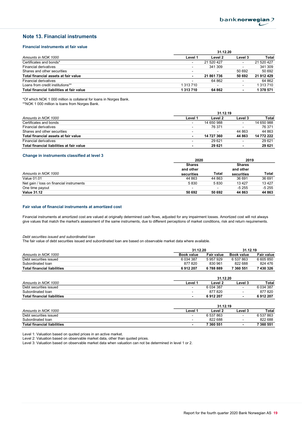## Note 13. Financial instruments

#### Financial instruments at fair value

|                                           | 31.12.20                 |            |                          |            |  |  |
|-------------------------------------------|--------------------------|------------|--------------------------|------------|--|--|
| Amounts in NOK 1000                       | Level 1                  | Level 2    | Level 3                  | Total      |  |  |
| Certificates and bonds*                   |                          | 21 520 427 | $\overline{\phantom{a}}$ | 21 520 427 |  |  |
| <b>Financial derivatives</b>              | $\overline{\phantom{a}}$ | 341 309    |                          | 341 309    |  |  |
| Shares and other securities               | $\overline{\phantom{a}}$ |            | 50 692                   | 50 692     |  |  |
| Total financial assets at fair value      | $\sim$                   | 21 861 736 | 50 692                   | 21 912 429 |  |  |
| <b>Financial derivatives</b>              | $\overline{\phantom{0}}$ | 64 862     | ۰                        | 64 862     |  |  |
| Loans from credit institutions**          | 1 313 710                |            | $\overline{\phantom{a}}$ | 1 313 710  |  |  |
| Total financial liabilities at fair value | 1 313 710                | 64 862     | $\blacksquare$           | 1 378 571  |  |  |

\*Of which NOK 1 000 million is collateral for loans in Norges Bank. \*\*NOK 1 000 million is loans from Norges Bank.

|                                           | 31.12.19                 |                          |                          |            |  |
|-------------------------------------------|--------------------------|--------------------------|--------------------------|------------|--|
| Amounts in NOK 1000                       | Level 1                  | Level 2                  | Level 3                  | Total      |  |
| Certificates and bonds                    | $\overline{\phantom{a}}$ | 14 650 988               | ٠                        | 14 650 988 |  |
| Financial derivatives                     | $\overline{\phantom{a}}$ | 76 371                   | $\overline{\phantom{a}}$ | 76 371     |  |
| Shares and other securities               | $\overline{\phantom{a}}$ | $\overline{\phantom{a}}$ | 44 863                   | 44 863     |  |
| Total financial assets at fair value      | $\overline{\phantom{0}}$ | 14 727 360               | 44 863                   | 14 772 222 |  |
| <b>Financial derivatives</b>              | $\overline{\phantom{a}}$ | 29 621                   |                          | 29 6 21    |  |
| Total financial liabilities at fair value | $\blacksquare$           | 29 621                   | $\blacksquare$           | 29 621     |  |

#### Change in instruments classified at level 3

|                                          | 2020                     |                          | 2019          |         |  |
|------------------------------------------|--------------------------|--------------------------|---------------|---------|--|
|                                          | <b>Shares</b>            |                          | <b>Shares</b> |         |  |
|                                          | and other                |                          | and other     |         |  |
| Amounts in NOK 1000                      | securities               | Total                    | securities    | Total   |  |
| <b>Value 01.01</b>                       | 44 863                   | 44 863                   | 36 691        | 36 691  |  |
| Net gain / loss on financial instruments | 5830                     | 5830                     | 13 4 27       | 13 4 27 |  |
| One time payout                          | $\overline{\phantom{a}}$ | $\overline{\phantom{a}}$ | $-5255$       | $-5255$ |  |
| <b>Value 31.12</b>                       | 50 692                   | 50 692                   | 44 863        | 44 863  |  |

#### Fair value of financial instruments at amortized cost

Financial instruments at amortized cost are valued at originally determined cash flows, adjusted for any impairment losses. Amortized cost will not always give values that match the market's assessment of the same instruments, due to different perceptions of market conditions, risk and return requirements.

#### Debt securities issued and subordinated loan

The fair value of debt securities issued and subordinated loan are based on observable market data where available.

|                                    | 31.12.20          |            | 31.12.19          |                   |
|------------------------------------|-------------------|------------|-------------------|-------------------|
| Amounts in NOK 1000                | <b>Book value</b> | Fair value | <b>Book value</b> | <b>Fair value</b> |
| Debt securities issued             | 6 0 34 3 87       | 5957929    | 6 537 863         | 6 605 850         |
| Subordinated loan                  | 877820            | 830 961    | 822 688           | 824 476           |
| <b>Total financial liabilities</b> | 6912207           | 6788889    | 7 360 551         | 7 430 326         |
|                                    | 31.12.20          |            |                   |                   |

|                             | <b>VI.IL.V</b>           |           |                          |            |
|-----------------------------|--------------------------|-----------|--------------------------|------------|
| Amounts in NOK 1000         | Level                    | Level 2   | Level 3                  | Total      |
| Debt securities issued      | $\overline{\phantom{a}}$ | 6 034 387 | $\overline{\phantom{0}}$ | 6 0 34 387 |
| Subordinated Ioan           | -                        | 877820    | $\overline{\phantom{0}}$ | 877820     |
| Total financial liabilities | -                        | 6912207   | $\blacksquare$           | 6912207    |

|                                    | 31.12.19                 |           |                          |           |
|------------------------------------|--------------------------|-----------|--------------------------|-----------|
| Amounts in NOK 1000                | Level '                  | Level 2   | Level 3                  | Total     |
| Debt securities issued             | $\overline{\phantom{0}}$ | 6 537 863 | $\overline{\phantom{0}}$ | 6 537 863 |
| Subordinated loan                  | $\overline{\phantom{0}}$ | 822 688   |                          | 822 688   |
| <b>Total financial liabilities</b> | $\overline{\phantom{a}}$ | 7 360 551 | $\overline{\phantom{a}}$ | 7 360 551 |

Level 1: Valuation based on quoted prices in an active market.

Level 2: Valuation based on observable market data, other than quoted prices.

Level 3: Valuation based on observable market data when valuation can not be determined in level 1 or 2.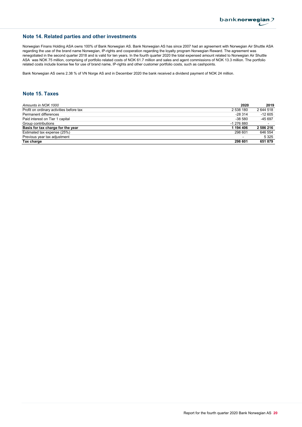### Note 14. Related parties and other investments

Norwegian Finans Holding ASA owns 100% of Bank Norwegian AS. Bank Norwegian AS has since 2007 had an agreement with Norwegian Air Shuttle ASA regarding the use of the brand name Norwegian, IP-rights and cooperation regarding the loyalty program Norwegian Reward. The agreement was renegotiated in the second quarter 2018 and is valid for ten years. In the fourth quarter 2020 the total expensed amount related to Norwegian Air Shuttle ASA was NOK 75 million, comprising of portfolio related costs of NOK 61.7 million and sales and agent commissions of NOK 13.3 million. The portfolio related costs include license fee for use of brand name, IP-rights and other customer portfolio costs, such as cashpoints.

Bank Norwegian AS owns 2.38 % of VN Norge AS and in December 2020 the bank received a dividend payment of NOK 24 million.

## Note 15. Taxes

| Amounts in NOK 1000                      | 2020                     | 2019      |
|------------------------------------------|--------------------------|-----------|
| Profit on ordinary activities before tax | 2 538 180                | 2 644 518 |
| Permanent differences                    | $-28.314$                | $-12605$  |
| Paid interest on Tier 1 capital          | $-38580$                 | -45 697   |
| Group contributions                      | -1 276 880               |           |
| Basis for tax charge for the year        | 1 194 406                | 2 586 216 |
| Estimated tax expense (25%)              | 298 601                  | 646 554   |
| Previous year tax adjustment             | $\overline{\phantom{0}}$ | 5 3 2 5   |
| Tax charge                               | 298 601                  | 651 879   |